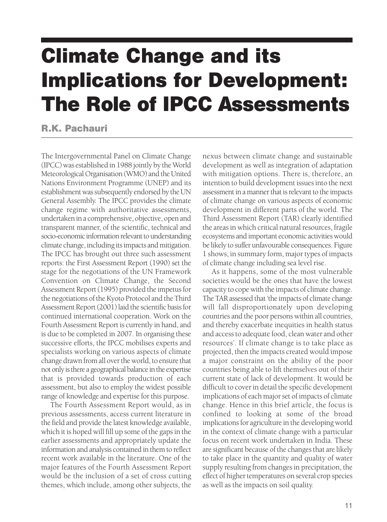## Climate Change and its Implications for Development: The Role of IPCC Assessments

R.K. Pachauri

The Intergovernmental Panel on Climate Change (IPCC) was established in 1988 jointly by theWorld Meteorological Organisation (WMO) and the United Nations Environment Programme (UNEP) and its establishment was subsequently endorsed by the UN General Assembly. The IPCC provides the climate change regime with authoritative assessments, undertaken in a comprehensive, objective, open and transparent manner, of the scientific, technical and socio-economic information relevant to understanding climate change, including its impacts and mitigation. The IPCC has brought out three such assessment reports: the First Assessment Report (1990) set the stage for the negotiations of the UN Framework Convention on Climate Change, the Second Assessment Report (1995) provided the impetus for the negotiations of the Kyoto Protocol and the Third Assessment Report (2001) laid the scientific basis for continued international cooperation. Work on the Fourth Assessment Report is currently in hand, and is due to be completed in 2007. In organising these successive efforts, the IPCC mobilises experts and specialists working on various aspects of climate change drawn fromall over the world, to ensure that not only is there a geographical balance in the expertise that is provided towards production of each assessment, but also to employ the widest possible range of knowledge and expertise for this purpose.

The Fourth Assessment Report would, as in previous assessments, access current literature in the field and provide the latest knowledge available, which it is hoped will fill up some of the gaps in the earlier assessments and appropriately update the information and analysis contained in them to reflect recent work available in the literature. One of the major features of the Fourth Assessment Report would be the inclusion of a set of cross cutting themes, which include, among other subjects, the

nexus between climate change and sustainable development as well as integration of adaptation with mitigation options. There is, therefore, an intention to build development issues into the next assessment in amanner that is relevant to the impacts of climate change on various aspects of economic development in different parts of the world. The Third Assessment Report (TAR) clearly identified the areas in which critical natural resources, fragile ecosystems and important economic activities would be likely to suffer unfavourable consequences. Figure 1 shows, in summary form, major types of impacts of climate change including sea level rise.

As it happens, some of the most vulnerable societies would be the ones that have the lowest capacity to cope with the impacts of climate change. The TAR assessed that 'the impacts of climate change will fall disproportionately upon developing countries and the poor persons within all countries, and thereby exacerbate inequities in health status and access to adequate food, clean water and other resources'. If climate change is to take place as projected, then the impacts created would impose a major constraint on the ability of the poor countries being able to lift themselves out of their current state of lack of development. It would be difficult to cover in detail the specific development implications of each major set of impacts of climate change. Hence in this brief article, the focus is confined to looking at some of the broad implications for agriculture in the developing world in the context of climate change with a particular focus on recent work undertaken in India. These are significant because of the changes that are likely to take place in the quantity and quality of water supply resulting from changes in precipitation, the effect of higher temperatures on several crop species as well as the impacts on soil quality.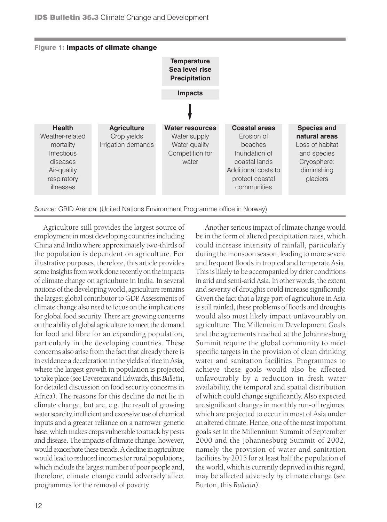

*Source:* GRID Arendal (United Nations Environment Programme office in Norway)

Agriculture still provides the largest source of employment in most developing countries including China and India where approximately two-thirds of the population is dependent on agriculture. For illustrative purposes, therefore, this article provides some insights from work done recently on the impacts of climate change on agriculture in India. In several nations of the developing world, agriculture remains the largest global contributor to GDP. Assessments of climate change also need to focus on the implications for global food security. There are growing concerns on the ability of global agriculture to meet the demand for food and fibre for an expanding population, particularly in the developing countries. These concerns also arise from the fact that already there is in evidence a deceleration in the yields of rice in Asia, where the largest growth in population is projected to take place (see Devereux and Edwards, this *Bulletin*, for detailed discussion on food security concerns in Africa). The reasons for this decline do not lie in climate change, but are, e.g. the result of growing water scarcity, inefficient andexcessive use of chemical inputs and a greater reliance on a narrower genetic base, which makes crops vulnerable to attack by pests and disease.The impacts of climate change, however, would exacerbate these trends. A decline in agriculture would lead to reduced incomes for rural populations, which include the largest number of poor people and, therefore, climate change could adversely affect programmes for the removal of poverty.

Another serious impact of climate change would be in the form of altered precipitation rates, which could increase intensity of rainfall, particularly during the monsoon season, leading to more severe and frequent floods in tropical and temperate Asia. This is likely to be accompanied by drier conditions in arid and semi-arid Asia. In other words, the extent and severity of droughts could increase significantly. Given the fact that a large part of agriculture in Asia is still rainfed, these problems of floods and droughts would also most likely impact unfavourably on agriculture. The Millennium Development Goals and the agreements reached at the Johannesburg Summit require the global community to meet specific targets in the provision of clean drinking water and sanitation facilities. Programmes to achieve these goals would also be affected unfavourably by a reduction in fresh water availability, the temporal and spatial distribution of which could change significantly. Also expected are significant changes in monthly run-off regimes, which are projected to occur in most of Asia under an altered climate. Hence, one of themost important goals set in the Millennium Summit of September 2000 and the Johannesburg Summit of 2002, namely the provision of water and sanitation facilities by 2015 for at least half the population of the world, which is currently deprived in this regard, may be affected adversely by climate change (see Burton, this *Bulletin*).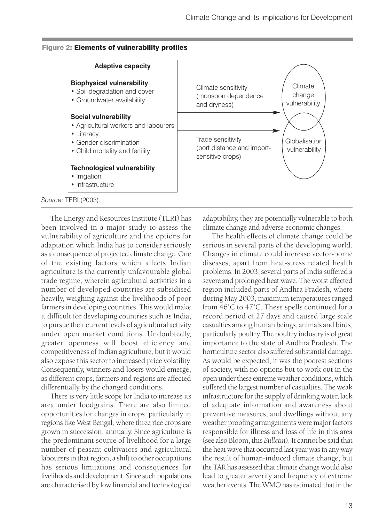



The Energy and Resources Institute (TERI) has been involved in a major study to assess the vulnerability of agriculture and the options for adaptation which India has to consider seriously as a consequence of projected climate change. One of the existing factors which affects Indian agriculture is the currently unfavourable global trade regime, wherein agricultural activities in a number of developed countries are subsidised heavily, weighing against the livelihoods of poor farmers in developing countries. This would make it difficult for developing countries such as India, to pursue their current levels of agricultural activity under open market conditions. Undoubtedly, greater openness will boost efficiency and competitiveness of Indian agriculture, but it would also expose this sector to increased price volatility. Consequently, winners and losers would emerge, as different crops, farmers and regions are affected differentially by the changed conditions.

There is very little scope for India to increase its area under foodgrains. There are also limited opportunities for changes in crops, particularly in regions like West Bengal, where three rice crops are grown in succession, annually. Since agriculture is the predominant source of livelihood for a large number of peasant cultivators and agricultural labourers in that region, a shift to other occupations has serious limitations and consequences for livelihoods and development. Since such populations are characterised by low financial and technological adaptability, they are potentially vulnerable to both climate change and adverse economic changes.

The health effects of climate change could be serious in several parts of the developing world. Changes in climate could increase vector-borne diseases, apart from heat-stress related health problems. In 2003, several parts of India suffered a severe and prolonged heat wave. The worst affected region included parts of Andhra Pradesh, where during May 2003, maximum temperatures ranged from 46˚C to 47˚C. These spells continued for a record period of 27 days and caused large scale casualties among human beings, animals and birds, particularly poultry. The poultry industry is of great importance to the state of Andhra Pradesh. The horticulture sector also suffered substantial damage. As would be expected, it was the poorest sections of society, with no options but to work out in the open under these extreme weather conditions, which suffered the largest number of casualties. The weak infrastructure for the supply of drinking water, lack of adequate information and awareness about preventive measures, and dwellings without any weather proofing arrangements were major factors responsible for illness and loss of life in this area (see also Bloom, this *Bulletin*). It cannot be said that the heat wave that occurred last year was in any way the result of human-induced climate change, but the TAR has assessed that climate change would also lead to greater severity and frequency of extreme weather events. The WMO has estimated that in the